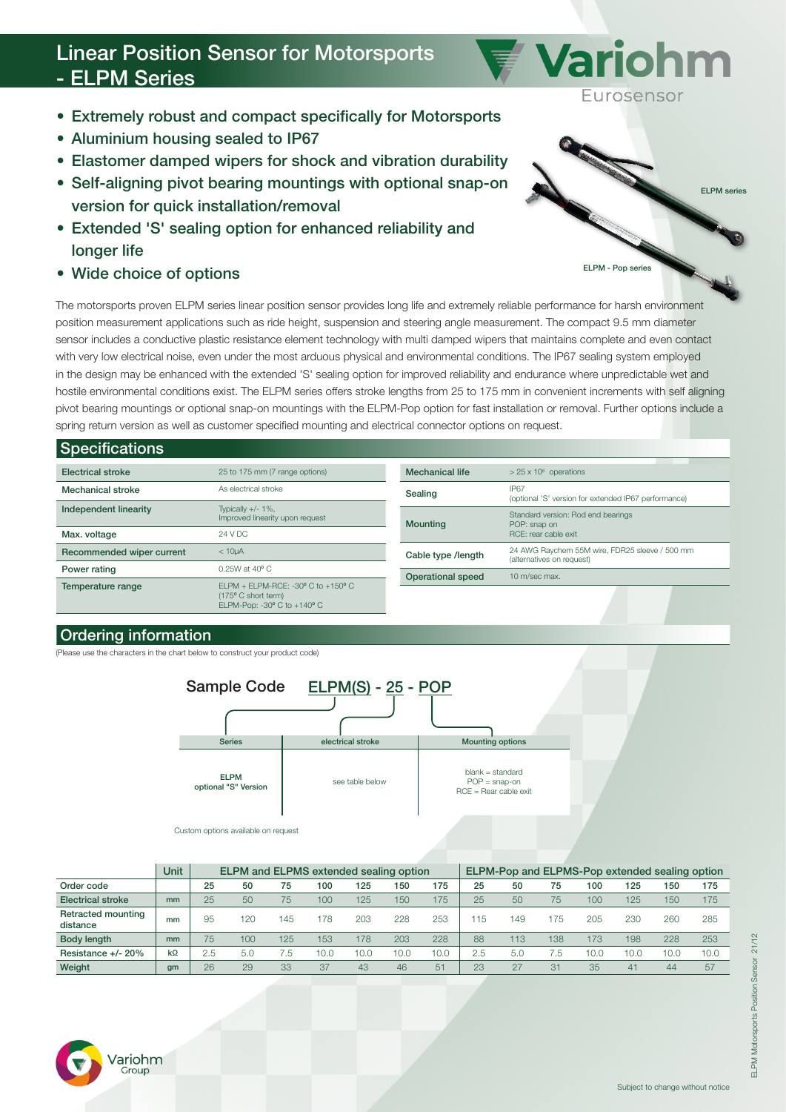# Linear Position Sensor for Motorsports - ELPM Series

- Extremely robust and compact specifically for Motorsports
- Aluminium housing sealed to IP67
- Elastomer damped wipers for shock and vibration durability
- Self-aligning pivot bearing mountings with optional snap-on version for quick installation/removal
- Extended 'S' sealing option for enhanced reliability and longer life
- Wide choice of options

The motorsports proven ELPM series linear position sensor provides long life and extremely reliable performance for harsh environment position measurement applications such as ride height, suspension and steering angle measurement. The compact 9.5 mm diameter sensor includes a conductive plastic resistance element technology with multi damped wipers that maintains complete and even contact with very low electrical noise, even under the most arduous physical and environmental conditions. The IP67 sealing system employed in the design may be enhanced with the extended 'S' sealing option for improved reliability and endurance where unpredictable wet and hostile environmental conditions exist. The ELPM series offers stroke lengths from 25 to 175 mm in convenient increments with self aligning pivot bearing mountings or optional snap-on mountings with the ELPM-Pop option for fast installation or removal. Further options include a spring return version as well as customer specified mounting and electrical connector options on request.

## Specifications

| <b>Electrical stroke</b>  | 25 to 175 mm (7 range options)                                                                                               | <b>Mechanical life</b> | $> 25 \times 10^6$ operations                                                                                                                             |  |  |  |  |
|---------------------------|------------------------------------------------------------------------------------------------------------------------------|------------------------|-----------------------------------------------------------------------------------------------------------------------------------------------------------|--|--|--|--|
| <b>Mechanical stroke</b>  | As electrical stroke                                                                                                         | Sealing                | IP67<br>(optional 'S' version for extended IP67 performance)                                                                                              |  |  |  |  |
| Independent linearity     | Typically $+/- 1\%$ ,<br>Improved linearity upon request                                                                     | <b>Mounting</b>        | Standard version: Rod end bearings<br>POP: snap on<br>RCF: rear cable exit<br>24 AWG Raychem 55M wire, FDR25 sleeve / 500 mm<br>(alternatives on request) |  |  |  |  |
| Max. voltage              | 24 V DC                                                                                                                      |                        |                                                                                                                                                           |  |  |  |  |
| Recommended wiper current | < 10 <sub>U</sub> A                                                                                                          | Cable type /length     |                                                                                                                                                           |  |  |  |  |
| Power rating              | $0.25W$ at 40 $^{\circ}$ C                                                                                                   | Operational speed      | 10 m/sec max.                                                                                                                                             |  |  |  |  |
| Temperature range         | ELPM + ELPM-RCE: -30 $\degree$ C to +150 $\degree$ C<br>(175° C short term)<br>ELPM-Pop: -30 $\degree$ C to +140 $\degree$ C |                        |                                                                                                                                                           |  |  |  |  |

## Ordering information

'ariohm Group

(Please use the characters in the chart below to construct your product code)



Custom options available on request

|                                       | Unit      | ELPM and ELPMS extended sealing option |                |     |      |      |      |      | ELPM-Pop and ELPMS-Pop extended sealing option |     |     |      |      |      |      |
|---------------------------------------|-----------|----------------------------------------|----------------|-----|------|------|------|------|------------------------------------------------|-----|-----|------|------|------|------|
| Order code                            |           | 25                                     | 50             | 75  | 100  | 125  | 150  | 175  | 25                                             | 50  | 75  | 100  | 125  | 150  | 175  |
| <b>Electrical stroke</b>              | mm        | 25                                     | 50             | 75  | 100  | 125  | 150  | 175  | 25                                             | 50  | 75  | 100  | 125  | 150  | 175  |
| <b>Retracted mounting</b><br>distance | mm        | 95                                     | 120            | 145 | 178  | 203  | 228  | 253  | 15                                             | 49  | 175 | 205  | 230  | 260  | 285  |
| Body length                           | mm        | 75                                     | 100            | 125 | 153  | 178  | 203  | 228  | 88                                             | 113 | 138 | 173  | 198  | 228  | 253  |
| Resistance +/- 20%                    | $k\Omega$ | 2.5                                    | 5 <sub>c</sub> | 5.  | 10.0 | 10.0 | 10.0 | 10.0 | 2.5                                            | 5.0 | 5.  | 10.0 | 10.0 | 10.0 | 10.0 |
| Weight                                | gm        | 26                                     | 29             | 33  | 37   | 43   | 46   | 51   | 23                                             |     | 31  | 35   | 41   | 44   | 57   |



Variohm

Eurosensor

ELPM series

Subject to change without notice